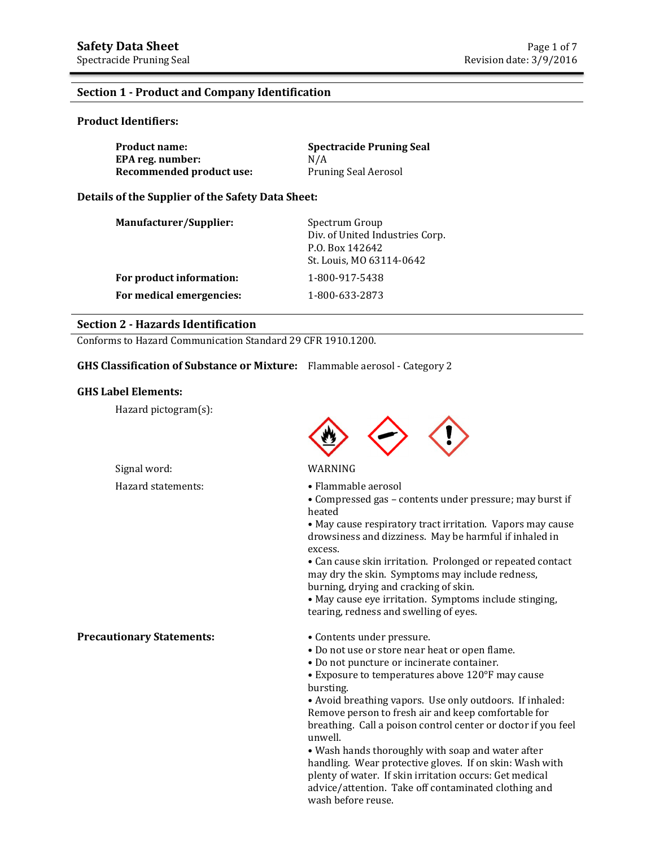#### **Section 1 - Product and Company Identification**

#### **Product Identifiers:**

| <b>Product name:</b>     | <b>Spectracide Pruning Seal</b> |
|--------------------------|---------------------------------|
| EPA reg. number:         | N/A                             |
| Recommended product use: | Pruning Seal Aerosol            |

#### **Details of the Supplier of the Safety Data Sheet:**

| Manufacturer/Supplier:   | Spectrum Group<br>Div. of United Industries Corp.<br>P.O. Box 142642<br>St. Louis, MO 63114-0642 |
|--------------------------|--------------------------------------------------------------------------------------------------|
| For product information: | 1-800-917-5438                                                                                   |
| For medical emergencies: | 1-800-633-2873                                                                                   |

#### **Section 2 - Hazards Identification**

Conforms to Hazard Communication Standard 29 CFR 1910.1200.

## **GHS Classification of Substance or Mixture:** Flammable aerosol - Category 2

#### **GHS Label Elements:**

Hazard pictogram(s):



#### Signal word: WARNING

- Hazard statements: Flammable aerosol
	- Compressed gas contents under pressure; may burst if heated

 • May cause respiratory tract irritation. Vapors may cause drowsiness and dizziness. May be harmful if inhaled in excess.

 • Can cause skin irritation. Prolonged or repeated contact may dry the skin. Symptoms may include redness, burning, drying and cracking of skin.

 • May cause eye irritation. Symptoms include stinging, tearing, redness and swelling of eyes.

**Precautionary Statements:** • Contents under pressure.

- 
- Do not use or store near heat or open flame.
- Do not puncture or incinerate container.
- Exposure to temperatures above 120°F may cause bursting.

• Avoid breathing vapors. Use only outdoors. If inhaled: Remove person to fresh air and keep comfortable for breathing. Call a poison control center or doctor if you feel unwell.

• Wash hands thoroughly with soap and water after handling. Wear protective gloves. If on skin: Wash with plenty of water. If skin irritation occurs: Get medical advice/attention. Take off contaminated clothing and wash before reuse.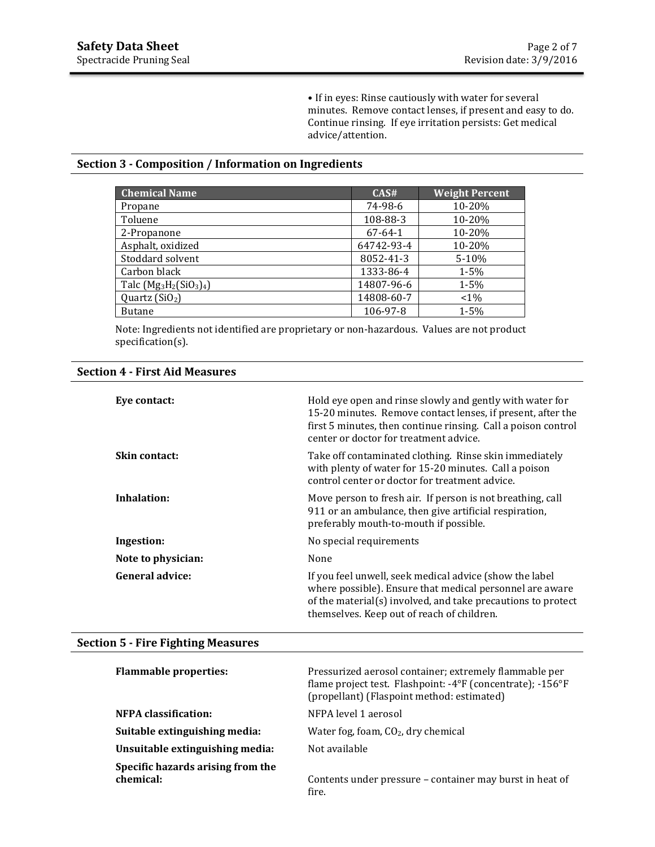• If in eyes: Rinse cautiously with water for several minutes. Remove contact lenses, if present and easy to do. Continue rinsing. If eye irritation persists: Get medical advice/attention.

#### **Section 3 - Composition / Information on Ingredients**

| <b>Chemical Name</b>      | CAS#          | <b>Weight Percent</b> |
|---------------------------|---------------|-----------------------|
| Propane                   | 74-98-6       | 10-20%                |
| Toluene                   | 108-88-3      | 10-20%                |
| 2-Propanone               | $67 - 64 - 1$ | 10-20%                |
| Asphalt, oxidized         | 64742-93-4    | 10-20%                |
| Stoddard solvent          | 8052-41-3     | 5-10%                 |
| Carbon black              | 1333-86-4     | $1 - 5%$              |
| Talc $(Mg_3H_2(SiO_3)_4)$ | 14807-96-6    | $1 - 5%$              |
| Quartz $(SiO2)$           | 14808-60-7    | $< 1\%$               |
| <b>Butane</b>             | 106-97-8      | $1 - 5%$              |

Note: Ingredients not identified are proprietary or non-hazardous. Values are not product specification(s).

| <b>Section 4 - First Aid Measures</b> |  |  |
|---------------------------------------|--|--|
|---------------------------------------|--|--|

| Eye contact:         | Hold eye open and rinse slowly and gently with water for<br>15-20 minutes. Remove contact lenses, if present, after the<br>first 5 minutes, then continue rinsing. Call a poison control<br>center or doctor for treatment advice. |
|----------------------|------------------------------------------------------------------------------------------------------------------------------------------------------------------------------------------------------------------------------------|
| <b>Skin contact:</b> | Take off contaminated clothing. Rinse skin immediately<br>with plenty of water for 15-20 minutes. Call a poison<br>control center or doctor for treatment advice.                                                                  |
| Inhalation:          | Move person to fresh air. If person is not breathing, call<br>911 or an ambulance, then give artificial respiration,<br>preferably mouth-to-mouth if possible.                                                                     |
| Ingestion:           | No special requirements                                                                                                                                                                                                            |
| Note to physician:   | None                                                                                                                                                                                                                               |
| General advice:      | If you feel unwell, seek medical advice (show the label<br>where possible). Ensure that medical personnel are aware<br>of the material(s) involved, and take precautions to protect<br>themselves. Keep out of reach of children.  |

## **Section 5 - Fire Fighting Measures**

| <b>Flammable properties:</b>                   | Pressurized aerosol container; extremely flammable per<br>flame project test. Flashpoint: -4°F (concentrate); -156°F<br>(propellant) (Flaspoint method: estimated) |
|------------------------------------------------|--------------------------------------------------------------------------------------------------------------------------------------------------------------------|
| <b>NFPA</b> classification:                    | NFPA level 1 aerosol                                                                                                                                               |
| Suitable extinguishing media:                  | Water fog, foam, $CO2$ , dry chemical                                                                                                                              |
| Unsuitable extinguishing media:                | Not available                                                                                                                                                      |
| Specific hazards arising from the<br>chemical: | Contents under pressure – container may burst in heat of<br>fire.                                                                                                  |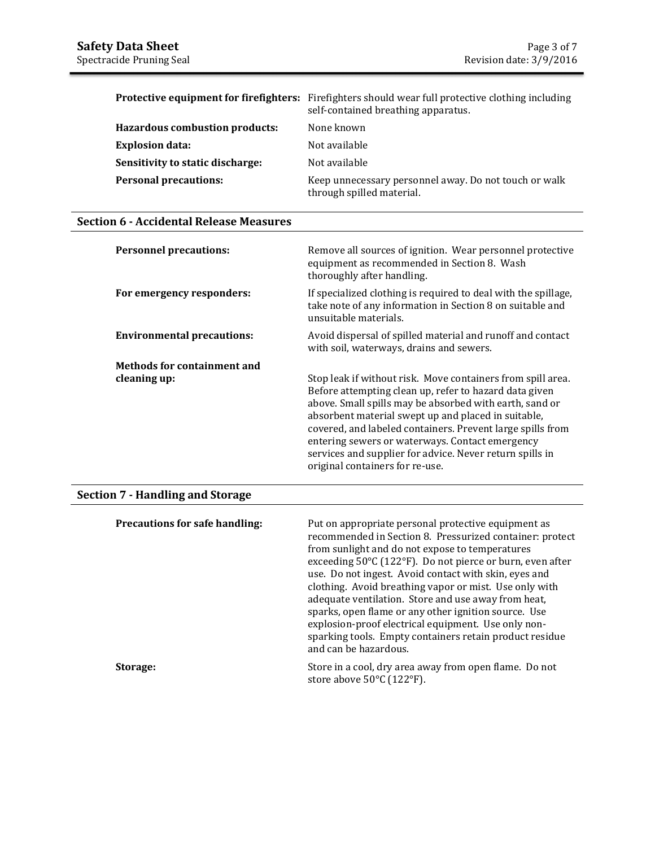|                                       | <b>Protective equipment for firefighters:</b> Firefighters should wear full protective clothing including<br>self-contained breathing apparatus. |
|---------------------------------------|--------------------------------------------------------------------------------------------------------------------------------------------------|
| <b>Hazardous combustion products:</b> | None known                                                                                                                                       |
| <b>Explosion data:</b>                | Not available                                                                                                                                    |
| Sensitivity to static discharge:      | Not available                                                                                                                                    |
| <b>Personal precautions:</b>          | Keep unnecessary personnel away. Do not touch or walk<br>through spilled material.                                                               |

## **Section 6 - Accidental Release Measures**

| <b>Personnel precautions:</b>      | Remove all sources of ignition. Wear personnel protective<br>equipment as recommended in Section 8. Wash<br>thoroughly after handling.                                                                                                                                                                                                                                                                                                                  |
|------------------------------------|---------------------------------------------------------------------------------------------------------------------------------------------------------------------------------------------------------------------------------------------------------------------------------------------------------------------------------------------------------------------------------------------------------------------------------------------------------|
| For emergency responders:          | If specialized clothing is required to deal with the spillage,<br>take note of any information in Section 8 on suitable and<br>unsuitable materials.                                                                                                                                                                                                                                                                                                    |
| <b>Environmental precautions:</b>  | Avoid dispersal of spilled material and runoff and contact<br>with soil, waterways, drains and sewers.                                                                                                                                                                                                                                                                                                                                                  |
| <b>Methods for containment and</b> |                                                                                                                                                                                                                                                                                                                                                                                                                                                         |
| cleaning up:                       | Stop leak if without risk. Move containers from spill area.<br>Before attempting clean up, refer to hazard data given<br>above. Small spills may be absorbed with earth, sand or<br>absorbent material swept up and placed in suitable,<br>covered, and labeled containers. Prevent large spills from<br>entering sewers or waterways. Contact emergency<br>services and supplier for advice. Never return spills in<br>original containers for re-use. |

## **Section 7 - Handling and Storage**

| <b>Precautions for safe handling:</b> | Put on appropriate personal protective equipment as<br>recommended in Section 8. Pressurized container: protect<br>from sunlight and do not expose to temperatures<br>exceeding 50°C (122°F). Do not pierce or burn, even after<br>use. Do not ingest. Avoid contact with skin, eyes and<br>clothing. Avoid breathing vapor or mist. Use only with<br>adequate ventilation. Store and use away from heat,<br>sparks, open flame or any other ignition source. Use<br>explosion-proof electrical equipment. Use only non-<br>sparking tools. Empty containers retain product residue<br>and can be hazardous. |
|---------------------------------------|--------------------------------------------------------------------------------------------------------------------------------------------------------------------------------------------------------------------------------------------------------------------------------------------------------------------------------------------------------------------------------------------------------------------------------------------------------------------------------------------------------------------------------------------------------------------------------------------------------------|
| Storage:                              | Store in a cool, dry area away from open flame. Do not<br>store above 50°C (122°F).                                                                                                                                                                                                                                                                                                                                                                                                                                                                                                                          |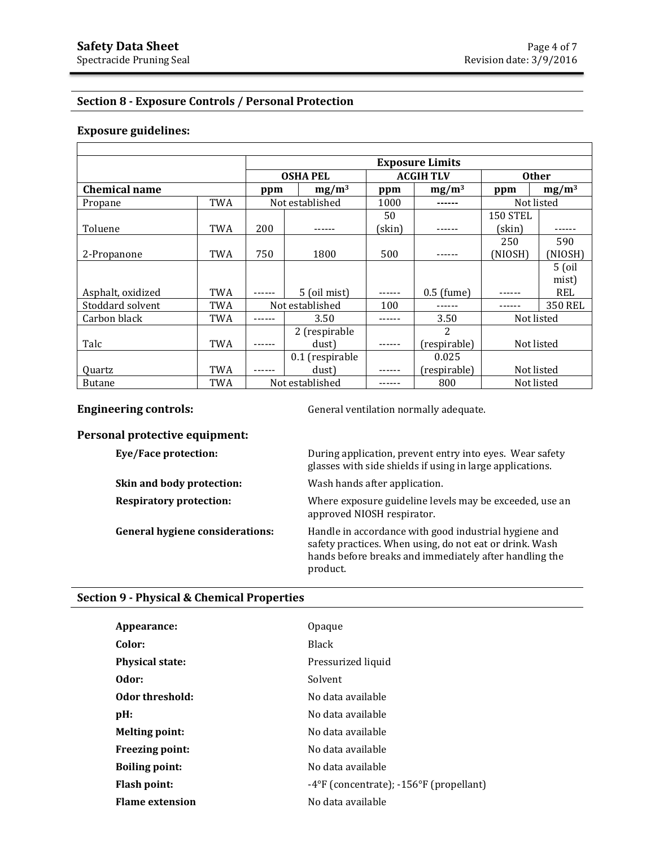# **Section 8 - Exposure Controls / Personal Protection**

## **Exposure guidelines:**

|                      |            | <b>Exposure Limits</b> |                 |                  |               |                 |                |
|----------------------|------------|------------------------|-----------------|------------------|---------------|-----------------|----------------|
|                      |            |                        | <b>OSHA PEL</b> | <b>ACGIH TLV</b> |               | <b>Other</b>    |                |
| <b>Chemical name</b> |            | ppm                    | $mg/m^3$        | ppm              | $mg/m^3$      | ppm             | $mg/m^3$       |
| Propane              | TWA        |                        | Not established | 1000             |               | Not listed      |                |
|                      |            |                        |                 | 50               |               | <b>150 STEL</b> |                |
| Toluene              | <b>TWA</b> | 200                    |                 | (skin)           |               | (skin)          |                |
|                      |            |                        |                 |                  |               | 250             | 590            |
| 2-Propanone          | TWA        | 750                    | 1800            | 500              |               | (NIOSH)         | (NIOSH)        |
|                      |            |                        |                 |                  |               |                 | $5$ (oil       |
|                      |            |                        |                 |                  |               |                 | mist)          |
| Asphalt, oxidized    | <b>TWA</b> |                        | 5 (oil mist)    |                  | $0.5$ (fume)  |                 | REL            |
| Stoddard solvent     | <b>TWA</b> |                        | Not established | 100              |               |                 | <b>350 REL</b> |
| Carbon black         | TWA        |                        | 3.50            |                  | 3.50          | Not listed      |                |
|                      |            |                        | 2 (respirable   |                  | $\mathcal{P}$ |                 |                |
| Talc                 | <b>TWA</b> |                        | dust)           |                  | (respirable)  | Not listed      |                |
|                      |            |                        | 0.1 (respirable |                  | 0.025         |                 |                |
| <b>Ouartz</b>        | <b>TWA</b> |                        | dust)           |                  | (respirable)  | Not listed      |                |
| <b>Butane</b>        | <b>TWA</b> |                        | Not established |                  | 800           | Not listed      |                |

**Engineering controls: General ventilation normally adequate.** 

| Personal protective equipment:         |                                                                                                                                                                                        |
|----------------------------------------|----------------------------------------------------------------------------------------------------------------------------------------------------------------------------------------|
| Eye/Face protection:                   | During application, prevent entry into eyes. Wear safety<br>glasses with side shields if using in large applications.                                                                  |
| Skin and body protection:              | Wash hands after application.                                                                                                                                                          |
| <b>Respiratory protection:</b>         | Where exposure guideline levels may be exceeded, use an<br>approved NIOSH respirator.                                                                                                  |
| <b>General hygiene considerations:</b> | Handle in accordance with good industrial hygiene and<br>safety practices. When using, do not eat or drink. Wash<br>hands before breaks and immediately after handling the<br>product. |

# **Section 9 - Physical & Chemical Properties**

| Appearance:            | Opaque                                  |
|------------------------|-----------------------------------------|
| Color:                 | <b>Black</b>                            |
| <b>Physical state:</b> | Pressurized liquid                      |
| Odor:                  | Solvent                                 |
| Odor threshold:        | No data available                       |
| pH:                    | No data available                       |
| <b>Melting point:</b>  | No data available                       |
| <b>Freezing point:</b> | No data available                       |
| <b>Boiling point:</b>  | No data available                       |
| Flash point:           | -4°F (concentrate); -156°F (propellant) |
| <b>Flame extension</b> | No data available                       |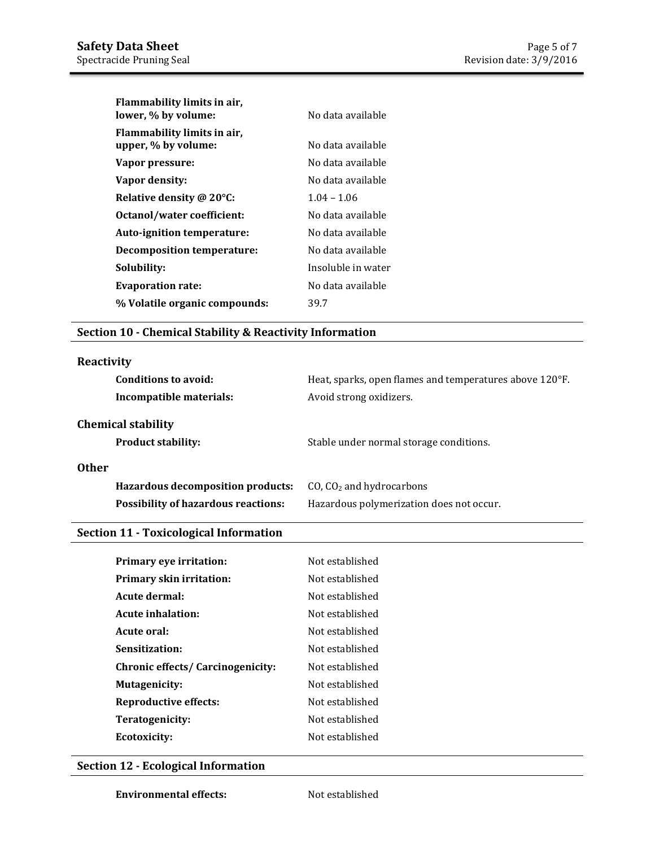| Flammability limits in air,<br>lower, % by volume: | No data available  |
|----------------------------------------------------|--------------------|
| Flammability limits in air,<br>upper, % by volume: | No data available  |
| Vapor pressure:                                    | No data available  |
| Vapor density:                                     | No data available  |
| Relative density @ 20°C:                           | $1.04 - 1.06$      |
| Octanol/water coefficient:                         | No data available  |
| Auto-ignition temperature:                         | No data available  |
| <b>Decomposition temperature:</b>                  | No data available  |
| Solubility:                                        | Insoluble in water |
| <b>Evaporation rate:</b>                           | No data available  |
| % Volatile organic compounds:                      | 39.7               |

## **Section 10 - Chemical Stability & Reactivity Information**

#### **Reactivity**

| Conditions to avoid:<br>Incompatible materials:        | Heat, sparks, open flames and temperatures above 120°F.<br>Avoid strong oxidizers. |
|--------------------------------------------------------|------------------------------------------------------------------------------------|
| <b>Chemical stability</b><br><b>Product stability:</b> | Stable under normal storage conditions.                                            |
| <b>Other</b>                                           |                                                                                    |
| <b>Hazardous decomposition products:</b>               | CO, $CO2$ and hydrocarbons                                                         |
| <b>Possibility of hazardous reactions:</b>             | Hazardous polymerization does not occur.                                           |

# **Section 11 - Toxicological Information**

| <b>Primary eye irritation:</b>           | Not established |
|------------------------------------------|-----------------|
| Primary skin irritation:                 | Not established |
| Acute dermal:                            | Not established |
| Acute inhalation:                        | Not established |
| Acute oral:                              | Not established |
| Sensitization:                           | Not established |
| <b>Chronic effects/ Carcinogenicity:</b> | Not established |
| <b>Mutagenicity:</b>                     | Not established |
| <b>Reproductive effects:</b>             | Not established |
| Teratogenicity:                          | Not established |
| Ecotoxicity:                             | Not established |

## **Section 12 - Ecological Information**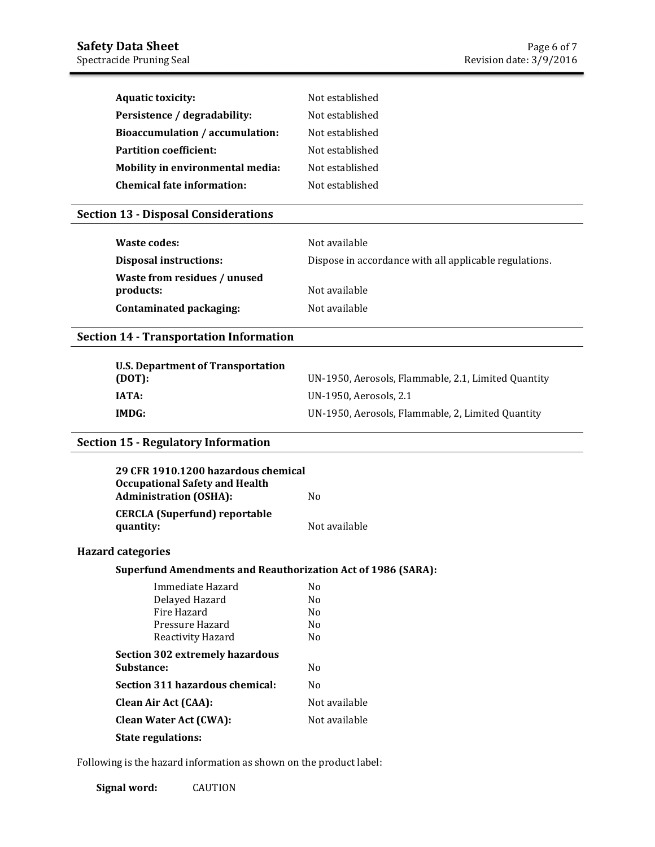| <b>Aquatic toxicity:</b>          | Not established |
|-----------------------------------|-----------------|
| Persistence / degradability:      | Not established |
| Bioaccumulation / accumulation:   | Not established |
| <b>Partition coefficient:</b>     | Not established |
| Mobility in environmental media:  | Not established |
| <b>Chemical fate information:</b> | Not established |

## **Section 13 - Disposal Considerations**

| Waste codes:                              | Not available                                          |
|-------------------------------------------|--------------------------------------------------------|
| <b>Disposal instructions:</b>             | Dispose in accordance with all applicable regulations. |
| Waste from residues / unused<br>products: | Not available                                          |
| Contaminated packaging:                   | Not available                                          |

#### **Section 14 - Transportation Information**

| U.S. Department of Transportation |                                                     |
|-----------------------------------|-----------------------------------------------------|
| (DOT):                            | UN-1950, Aerosols, Flammable, 2.1, Limited Quantity |
| IATA:                             | UN-1950, Aerosols, 2.1                              |
| IMDG:                             | UN-1950, Aerosols, Flammable, 2, Limited Quantity   |

## **Section 15 - Regulatory Information**

| 29 CFR 1910.1200 hazardous chemical<br><b>Occupational Safety and Health</b><br><b>Administration (OSHA):</b> | No.            |  |
|---------------------------------------------------------------------------------------------------------------|----------------|--|
| <b>CERCLA (Superfund) reportable</b><br>quantity:                                                             | Not available  |  |
| <b>Hazard categories</b>                                                                                      |                |  |
| <b>Superfund Amendments and Reauthorization Act of 1986 (SARA):</b>                                           |                |  |
| Immediate Hazard                                                                                              | No.            |  |
| Delayed Hazard                                                                                                | No.            |  |
| Fire Hazard                                                                                                   | No.            |  |
| Pressure Hazard                                                                                               | No.            |  |
| Reactivity Hazard                                                                                             | No.            |  |
| <b>Section 302 extremely hazardous</b>                                                                        |                |  |
| Substance:                                                                                                    | No.            |  |
| Section 311 hazardous chemical:                                                                               | N <sub>0</sub> |  |
| Clean Air Act (CAA):                                                                                          | Not available  |  |
| <b>Clean Water Act (CWA):</b>                                                                                 | Not available  |  |
| <b>State regulations:</b>                                                                                     |                |  |

Following is the hazard information as shown on the product label:

**Signal word:** CAUTION